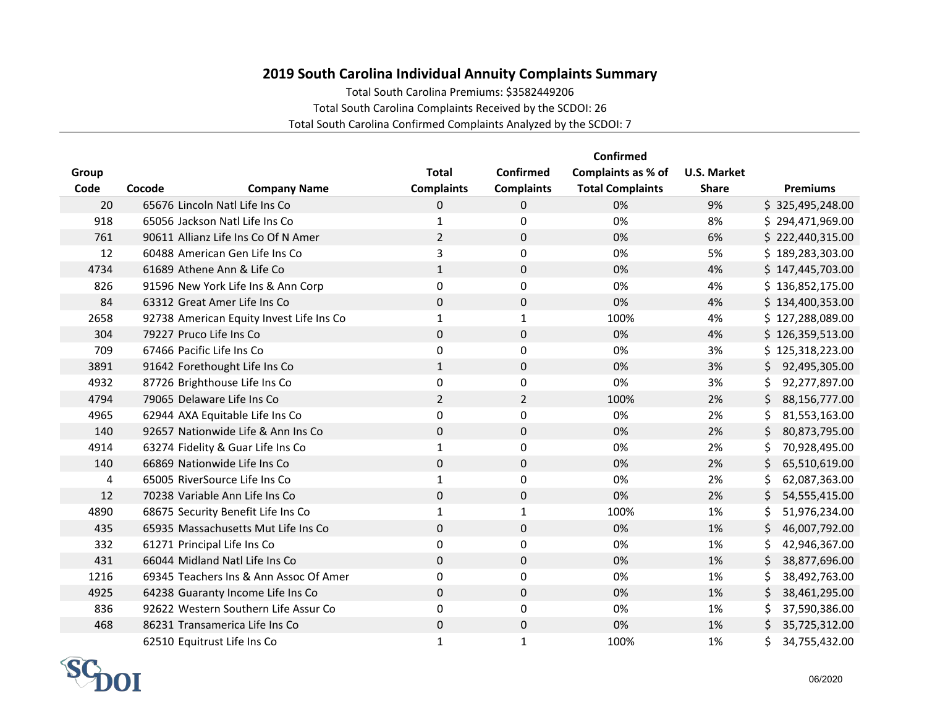## **2019 South Carolina Individual Annuity Complaints Summary**

Total South Carolina Premiums: \$3582449206

Total South Carolina Complaints Received by the SCDOI: 26

Total South Carolina Confirmed Complaints Analyzed by the SCDOI: 7

|       |                                          |                   |                   | <b>Confirmed</b>        |                    |                      |
|-------|------------------------------------------|-------------------|-------------------|-------------------------|--------------------|----------------------|
| Group |                                          | <b>Total</b>      | Confirmed         | Complaints as % of      | <b>U.S. Market</b> |                      |
| Code  | Cocode<br><b>Company Name</b>            | <b>Complaints</b> | <b>Complaints</b> | <b>Total Complaints</b> | <b>Share</b>       | <b>Premiums</b>      |
| 20    | 65676 Lincoln Natl Life Ins Co           | 0                 | 0                 | 0%                      | 9%                 | \$325,495,248.00     |
| 918   | 65056 Jackson Natl Life Ins Co           | $\mathbf{1}$      | 0                 | 0%                      | 8%                 | \$294,471,969.00     |
| 761   | 90611 Allianz Life Ins Co Of N Amer      | $\overline{2}$    | 0                 | 0%                      | 6%                 | \$222,440,315.00     |
| 12    | 60488 American Gen Life Ins Co           | 3                 | 0                 | 0%                      | 5%                 | \$189,283,303.00     |
| 4734  | 61689 Athene Ann & Life Co               | $\mathbf{1}$      | 0                 | 0%                      | 4%                 | \$147,445,703.00     |
| 826   | 91596 New York Life Ins & Ann Corp       | 0                 | 0                 | 0%                      | 4%                 | \$136,852,175.00     |
| 84    | 63312 Great Amer Life Ins Co             | $\Omega$          | 0                 | 0%                      | 4%                 | \$134,400,353.00     |
| 2658  | 92738 American Equity Invest Life Ins Co | $\mathbf{1}$      | $\mathbf{1}$      | 100%                    | 4%                 | \$127,288,089.00     |
| 304   | 79227 Pruco Life Ins Co                  | $\pmb{0}$         | $\mathbf{0}$      | 0%                      | 4%                 | \$126,359,513.00     |
| 709   | 67466 Pacific Life Ins Co                | $\pmb{0}$         | 0                 | 0%                      | 3%                 | \$125,318,223.00     |
| 3891  | 91642 Forethought Life Ins Co            | $\mathbf{1}$      | 0                 | 0%                      | 3%                 | 92,495,305.00<br>S.  |
| 4932  | 87726 Brighthouse Life Ins Co            | 0                 | 0                 | 0%                      | 3%                 | 92,277,897.00<br>\$. |
| 4794  | 79065 Delaware Life Ins Co               | $\overline{2}$    | $\overline{2}$    | 100%                    | 2%                 | 88,156,777.00<br>\$. |
| 4965  | 62944 AXA Equitable Life Ins Co          | 0                 | 0                 | 0%                      | 2%                 | \$.<br>81,553,163.00 |
| 140   | 92657 Nationwide Life & Ann Ins Co       | 0                 | 0                 | 0%                      | 2%                 | \$<br>80,873,795.00  |
| 4914  | 63274 Fidelity & Guar Life Ins Co        | 1                 | 0                 | 0%                      | 2%                 | 70,928,495.00<br>\$  |
| 140   | 66869 Nationwide Life Ins Co             | $\mathbf 0$       | 0                 | 0%                      | 2%                 | Ś.<br>65,510,619.00  |
| 4     | 65005 RiverSource Life Ins Co            | $\mathbf{1}$      | 0                 | 0%                      | 2%                 | \$<br>62,087,363.00  |
| 12    | 70238 Variable Ann Life Ins Co           | $\mathbf 0$       | $\mathbf 0$       | 0%                      | 2%                 | \$<br>54,555,415.00  |
| 4890  | 68675 Security Benefit Life Ins Co       | 1                 | 1                 | 100%                    | 1%                 | Ś<br>51,976,234.00   |
| 435   | 65935 Massachusetts Mut Life Ins Co      | $\Omega$          | $\Omega$          | 0%                      | 1%                 | 46,007,792.00<br>\$. |
| 332   | 61271 Principal Life Ins Co              | $\Omega$          | 0                 | 0%                      | 1%                 | 42,946,367.00<br>\$. |
| 431   | 66044 Midland Natl Life Ins Co           | $\mathbf 0$       | $\mathbf{0}$      | 0%                      | 1%                 | \$<br>38,877,696.00  |
| 1216  | 69345 Teachers Ins & Ann Assoc Of Amer   | 0                 | 0                 | 0%                      | 1%                 | \$<br>38,492,763.00  |
| 4925  | 64238 Guaranty Income Life Ins Co        | $\mathbf 0$       | $\mathbf{0}$      | 0%                      | 1%                 | \$<br>38,461,295.00  |
| 836   | 92622 Western Southern Life Assur Co     | $\Omega$          | $\Omega$          | 0%                      | 1%                 | 37,590,386.00<br>Ś.  |
| 468   | 86231 Transamerica Life Ins Co           | $\mathbf 0$       | $\mathbf{0}$      | 0%                      | 1%                 | \$<br>35,725,312.00  |
|       | 62510 Equitrust Life Ins Co              | $\mathbf{1}$      | $\mathbf{1}$      | 100%                    | 1%                 | \$<br>34,755,432.00  |

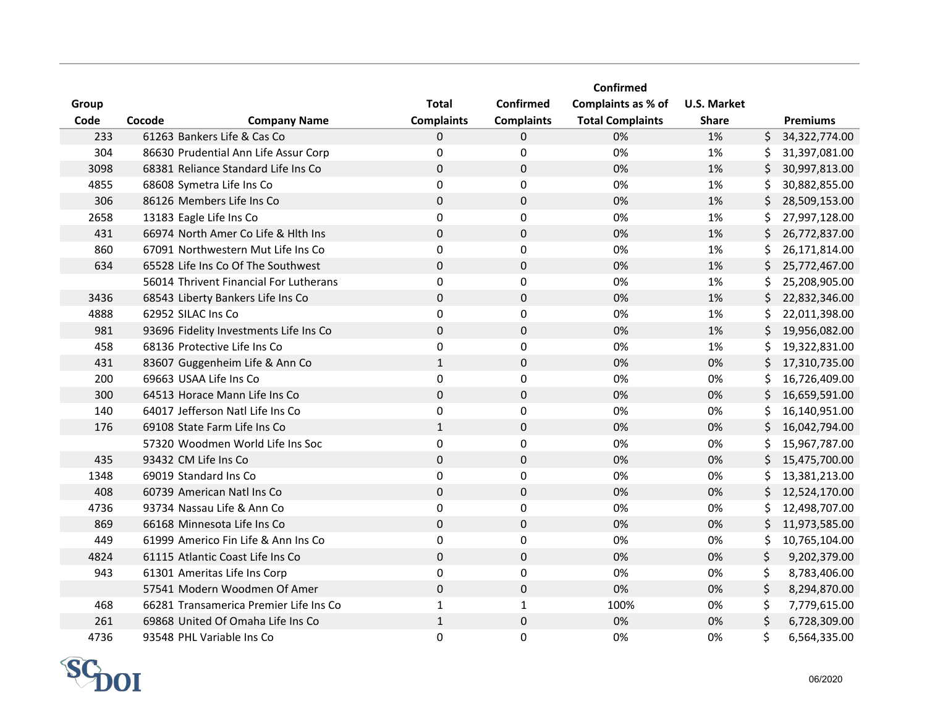|       |                                        |                   |                   | <b>Confirmed</b>        |                    |     |                 |
|-------|----------------------------------------|-------------------|-------------------|-------------------------|--------------------|-----|-----------------|
| Group |                                        | <b>Total</b>      | Confirmed         | Complaints as % of      | <b>U.S. Market</b> |     |                 |
| Code  | Cocode<br><b>Company Name</b>          | <b>Complaints</b> | <b>Complaints</b> | <b>Total Complaints</b> | <b>Share</b>       |     | <b>Premiums</b> |
| 233   | 61263 Bankers Life & Cas Co            | 0                 | $\mathbf 0$       | 0%                      | 1%                 | \$  | 34,322,774.00   |
| 304   | 86630 Prudential Ann Life Assur Corp   | 0                 | 0                 | 0%                      | 1%                 | \$. | 31,397,081.00   |
| 3098  | 68381 Reliance Standard Life Ins Co    | 0                 | $\mathbf 0$       | 0%                      | 1%                 | \$  | 30,997,813.00   |
| 4855  | 68608 Symetra Life Ins Co              | 0                 | 0                 | 0%                      | 1%                 | \$  | 30,882,855.00   |
| 306   | 86126 Members Life Ins Co              | 0                 | $\pmb{0}$         | 0%                      | 1%                 | \$  | 28,509,153.00   |
| 2658  | 13183 Eagle Life Ins Co                | 0                 | $\pmb{0}$         | 0%                      | 1%                 | \$  | 27,997,128.00   |
| 431   | 66974 North Amer Co Life & Hith Ins    | 0                 | $\pmb{0}$         | 0%                      | 1%                 | \$  | 26,772,837.00   |
| 860   | 67091 Northwestern Mut Life Ins Co     | 0                 | 0                 | 0%                      | 1%                 | Ś.  | 26,171,814.00   |
| 634   | 65528 Life Ins Co Of The Southwest     | 0                 | $\mathbf 0$       | 0%                      | 1%                 | Ś.  | 25,772,467.00   |
|       | 56014 Thrivent Financial For Lutherans | 0                 | 0                 | 0%                      | 1%                 | S.  | 25,208,905.00   |
| 3436  | 68543 Liberty Bankers Life Ins Co      | 0                 | $\mathbf 0$       | 0%                      | 1%                 | \$  | 22,832,346.00   |
| 4888  | 62952 SILAC Ins Co                     | 0                 | 0                 | 0%                      | 1%                 | \$. | 22,011,398.00   |
| 981   | 93696 Fidelity Investments Life Ins Co | 0                 | $\pmb{0}$         | 0%                      | 1%                 | \$  | 19,956,082.00   |
| 458   | 68136 Protective Life Ins Co           | 0                 | $\pmb{0}$         | 0%                      | 1%                 | \$. | 19,322,831.00   |
| 431   | 83607 Guggenheim Life & Ann Co         | $\mathbf{1}$      | $\mathbf 0$       | 0%                      | $0\%$              | \$. | 17,310,735.00   |
| 200   | 69663 USAA Life Ins Co                 | 0                 | 0                 | 0%                      | 0%                 | \$  | 16,726,409.00   |
| 300   | 64513 Horace Mann Life Ins Co          | 0                 | $\pmb{0}$         | 0%                      | 0%                 | \$  | 16,659,591.00   |
| 140   | 64017 Jefferson Natl Life Ins Co       | 0                 | $\mathbf 0$       | 0%                      | 0%                 | \$  | 16,140,951.00   |
| 176   | 69108 State Farm Life Ins Co           | $\mathbf{1}$      | $\pmb{0}$         | 0%                      | 0%                 | \$  | 16,042,794.00   |
|       | 57320 Woodmen World Life Ins Soc       | 0                 | 0                 | 0%                      | 0%                 | \$  | 15,967,787.00   |
| 435   | 93432 CM Life Ins Co                   | 0                 | $\pmb{0}$         | 0%                      | 0%                 | \$  | 15,475,700.00   |
| 1348  | 69019 Standard Ins Co                  | 0                 | $\pmb{0}$         | 0%                      | 0%                 | \$  | 13,381,213.00   |
| 408   | 60739 American Natl Ins Co             | 0                 | $\mathbf 0$       | 0%                      | 0%                 | \$  | 12,524,170.00   |
| 4736  | 93734 Nassau Life & Ann Co             | 0                 | 0                 | 0%                      | 0%                 | \$  | 12,498,707.00   |
| 869   | 66168 Minnesota Life Ins Co            | 0                 | $\pmb{0}$         | 0%                      | 0%                 | \$  | 11,973,585.00   |
| 449   | 61999 Americo Fin Life & Ann Ins Co    | 0                 | $\mathbf 0$       | 0%                      | 0%                 | \$  | 10,765,104.00   |
| 4824  | 61115 Atlantic Coast Life Ins Co       | 0                 | $\mathbf 0$       | 0%                      | 0%                 | \$  | 9,202,379.00    |
| 943   | 61301 Ameritas Life Ins Corp           | 0                 | 0                 | 0%                      | 0%                 | \$  | 8,783,406.00    |
|       | 57541 Modern Woodmen Of Amer           | 0                 | $\mathbf 0$       | 0%                      | 0%                 | \$  | 8,294,870.00    |
| 468   | 66281 Transamerica Premier Life Ins Co | $\mathbf{1}$      | $\mathbf{1}$      | 100%                    | 0%                 | \$  | 7,779,615.00    |
| 261   | 69868 United Of Omaha Life Ins Co      | $\mathbf{1}$      | $\pmb{0}$         | 0%                      | 0%                 | \$  | 6,728,309.00    |
| 4736  | 93548 PHL Variable Ins Co              | 0                 | 0                 | 0%                      | 0%                 | \$  | 6,564,335.00    |

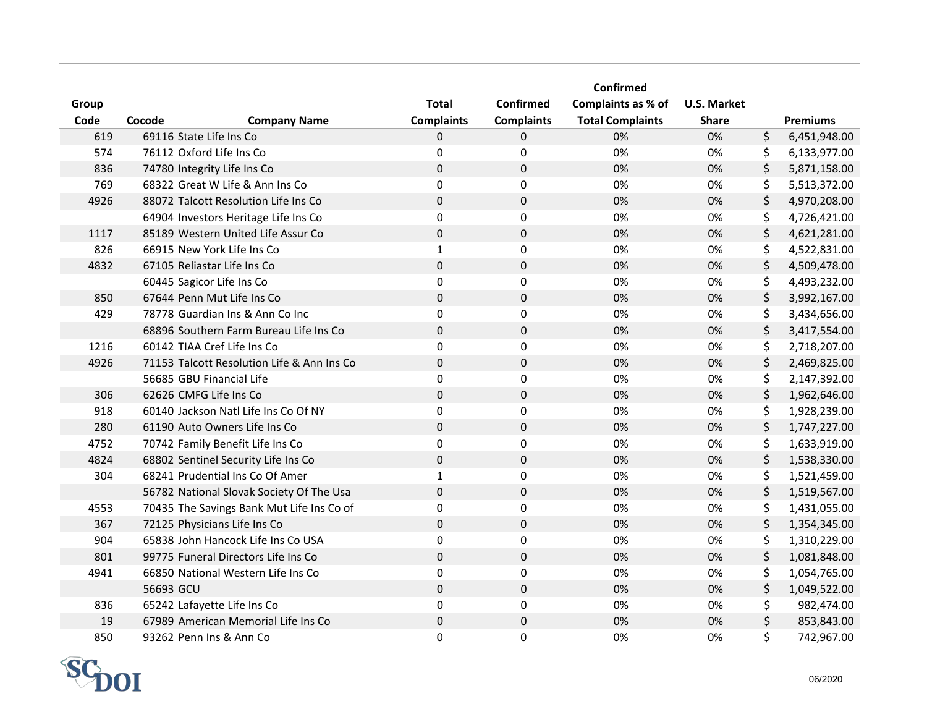|       |                                            |                   |                     | Confirmed               |                    |                    |
|-------|--------------------------------------------|-------------------|---------------------|-------------------------|--------------------|--------------------|
| Group |                                            | <b>Total</b>      | <b>Confirmed</b>    | Complaints as % of      | <b>U.S. Market</b> |                    |
| Code  | Cocode<br><b>Company Name</b>              | <b>Complaints</b> | <b>Complaints</b>   | <b>Total Complaints</b> | <b>Share</b>       | <b>Premiums</b>    |
| 619   | 69116 State Life Ins Co                    | $\mathbf 0$       | $\mathbf 0$         | 0%                      | 0%                 | \$<br>6,451,948.00 |
| 574   | 76112 Oxford Life Ins Co                   | 0                 | 0                   | 0%                      | 0%                 | \$<br>6,133,977.00 |
| 836   | 74780 Integrity Life Ins Co                | $\mathbf 0$       | $\mathbf 0$         | 0%                      | 0%                 | \$<br>5,871,158.00 |
| 769   | 68322 Great W Life & Ann Ins Co            | 0                 | 0                   | 0%                      | 0%                 | \$<br>5,513,372.00 |
| 4926  | 88072 Talcott Resolution Life Ins Co       | $\pmb{0}$         | $\mathsf{O}\xspace$ | 0%                      | 0%                 | \$<br>4,970,208.00 |
|       | 64904 Investors Heritage Life Ins Co       | 0                 | $\mathsf{O}\xspace$ | 0%                      | 0%                 | \$<br>4,726,421.00 |
| 1117  | 85189 Western United Life Assur Co         | $\pmb{0}$         | $\mathbf 0$         | 0%                      | 0%                 | \$<br>4,621,281.00 |
| 826   | 66915 New York Life Ins Co                 | $\mathbf 1$       | 0                   | 0%                      | 0%                 | \$<br>4,522,831.00 |
| 4832  | 67105 Reliastar Life Ins Co                | $\mathbf 0$       | $\mathbf{0}$        | 0%                      | 0%                 | \$<br>4,509,478.00 |
|       | 60445 Sagicor Life Ins Co                  | 0                 | 0                   | 0%                      | 0%                 | \$<br>4,493,232.00 |
| 850   | 67644 Penn Mut Life Ins Co                 | $\mathbf 0$       | $\mathbf 0$         | 0%                      | 0%                 | \$<br>3,992,167.00 |
| 429   | 78778 Guardian Ins & Ann Co Inc            | $\mathbf 0$       | 0                   | 0%                      | 0%                 | \$<br>3,434,656.00 |
|       | 68896 Southern Farm Bureau Life Ins Co     | $\mathbf 0$       | $\pmb{0}$           | 0%                      | 0%                 | \$<br>3,417,554.00 |
| 1216  | 60142 TIAA Cref Life Ins Co                | $\pmb{0}$         | 0                   | 0%                      | 0%                 | \$<br>2,718,207.00 |
| 4926  | 71153 Talcott Resolution Life & Ann Ins Co | $\mathbf 0$       | $\mathbf 0$         | 0%                      | 0%                 | \$<br>2,469,825.00 |
|       | 56685 GBU Financial Life                   | 0                 | 0                   | 0%                      | 0%                 | \$<br>2,147,392.00 |
| 306   | 62626 CMFG Life Ins Co                     | $\mathbf 0$       | $\mathbf 0$         | 0%                      | 0%                 | \$<br>1,962,646.00 |
| 918   | 60140 Jackson Natl Life Ins Co Of NY       | 0                 | $\mathbf 0$         | 0%                      | 0%                 | \$<br>1,928,239.00 |
| 280   | 61190 Auto Owners Life Ins Co              | $\mathbf 0$       | $\mathsf{O}$        | 0%                      | 0%                 | \$<br>1,747,227.00 |
| 4752  | 70742 Family Benefit Life Ins Co           | 0                 | 0                   | 0%                      | 0%                 | \$<br>1,633,919.00 |
| 4824  | 68802 Sentinel Security Life Ins Co        | $\pmb{0}$         | $\mathbf 0$         | 0%                      | 0%                 | \$<br>1,538,330.00 |
| 304   | 68241 Prudential Ins Co Of Amer            | $\mathbf 1$       | $\mathbf 0$         | 0%                      | 0%                 | \$<br>1,521,459.00 |
|       | 56782 National Slovak Society Of The Usa   | $\mathbf 0$       | $\mathbf 0$         | 0%                      | 0%                 | \$<br>1,519,567.00 |
| 4553  | 70435 The Savings Bank Mut Life Ins Co of  | 0                 | 0                   | 0%                      | 0%                 | \$<br>1,431,055.00 |
| 367   | 72125 Physicians Life Ins Co               | $\mathbf 0$       | $\mathbf 0$         | 0%                      | 0%                 | \$<br>1,354,345.00 |
| 904   | 65838 John Hancock Life Ins Co USA         | 0                 | $\mathbf 0$         | 0%                      | 0%                 | \$<br>1,310,229.00 |
| 801   | 99775 Funeral Directors Life Ins Co        | $\mathbf 0$       | $\mathbf 0$         | 0%                      | 0%                 | \$<br>1,081,848.00 |
| 4941  | 66850 National Western Life Ins Co         | 0                 | 0                   | 0%                      | 0%                 | \$<br>1,054,765.00 |
|       | 56693 GCU                                  | $\mathbf 0$       | $\mathbf 0$         | 0%                      | 0%                 | \$<br>1,049,522.00 |
| 836   | 65242 Lafayette Life Ins Co                | 0                 | 0                   | 0%                      | 0%                 | \$<br>982,474.00   |
| 19    | 67989 American Memorial Life Ins Co        | $\pmb{0}$         | $\pmb{0}$           | 0%                      | 0%                 | \$<br>853,843.00   |
| 850   | 93262 Penn Ins & Ann Co                    | 0                 | 0                   | 0%                      | 0%                 | \$<br>742,967.00   |

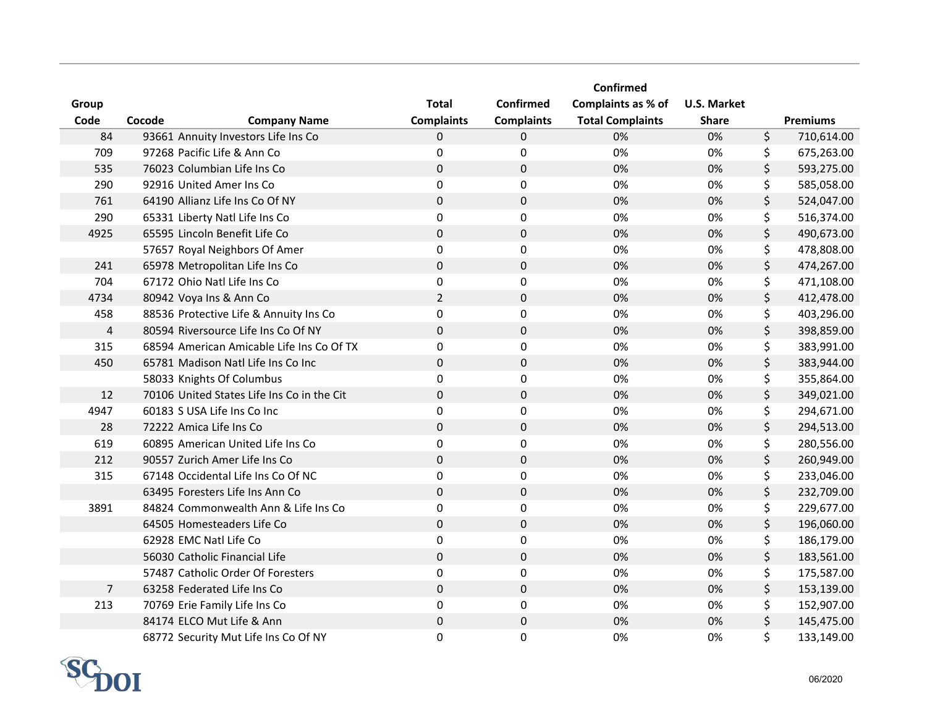|                |                                            |                                   | <b>Confirmed</b>  | Confirmed                                     | <b>U.S. Market</b> |                  |
|----------------|--------------------------------------------|-----------------------------------|-------------------|-----------------------------------------------|--------------------|------------------|
| Group<br>Code  | Cocode<br><b>Company Name</b>              | <b>Total</b><br><b>Complaints</b> | <b>Complaints</b> | Complaints as % of<br><b>Total Complaints</b> | <b>Share</b>       | <b>Premiums</b>  |
| 84             | 93661 Annuity Investors Life Ins Co        | 0                                 | $\mathbf 0$       | 0%                                            | 0%                 | \$<br>710,614.00 |
| 709            | 97268 Pacific Life & Ann Co                | 0                                 | 0                 | 0%                                            | 0%                 | \$<br>675,263.00 |
| 535            | 76023 Columbian Life Ins Co                | 0                                 | $\mathbf 0$       | 0%                                            | 0%                 | \$<br>593,275.00 |
| 290            | 92916 United Amer Ins Co                   | 0                                 | 0                 | 0%                                            | 0%                 | \$<br>585,058.00 |
| 761            | 64190 Allianz Life Ins Co Of NY            | 0                                 | $\pmb{0}$         | 0%                                            | 0%                 | \$<br>524,047.00 |
| 290            | 65331 Liberty Natl Life Ins Co             | 0                                 | $\pmb{0}$         | 0%                                            | 0%                 | \$<br>516,374.00 |
| 4925           | 65595 Lincoln Benefit Life Co              | 0                                 | $\pmb{0}$         | 0%                                            | 0%                 | \$<br>490,673.00 |
|                | 57657 Royal Neighbors Of Amer              | 0                                 | 0                 | 0%                                            | 0%                 | \$<br>478,808.00 |
| 241            | 65978 Metropolitan Life Ins Co             | 0                                 | $\mathbf 0$       | 0%                                            | 0%                 | \$<br>474,267.00 |
| 704            | 67172 Ohio Natl Life Ins Co                | 0                                 | 0                 | 0%                                            | 0%                 | \$<br>471,108.00 |
| 4734           | 80942 Voya Ins & Ann Co                    | $\overline{2}$                    | $\mathbf 0$       | 0%                                            | 0%                 | \$<br>412,478.00 |
| 458            | 88536 Protective Life & Annuity Ins Co     | 0                                 | 0                 | 0%                                            | 0%                 | \$<br>403,296.00 |
| $\sqrt{4}$     | 80594 Riversource Life Ins Co Of NY        | 0                                 | $\pmb{0}$         | 0%                                            | 0%                 | \$<br>398,859.00 |
| 315            | 68594 American Amicable Life Ins Co Of TX  | 0                                 | $\pmb{0}$         | 0%                                            | 0%                 | \$<br>383,991.00 |
| 450            | 65781 Madison Natl Life Ins Co Inc         | 0                                 | $\mathbf 0$       | 0%                                            | 0%                 | \$<br>383,944.00 |
|                | 58033 Knights Of Columbus                  | 0                                 | 0                 | 0%                                            | 0%                 | \$<br>355,864.00 |
| 12             | 70106 United States Life Ins Co in the Cit | 0                                 | $\pmb{0}$         | 0%                                            | 0%                 | \$<br>349,021.00 |
| 4947           | 60183 S USA Life Ins Co Inc                | 0                                 | $\mathbf 0$       | 0%                                            | 0%                 | \$<br>294,671.00 |
| 28             | 72222 Amica Life Ins Co                    | $\pmb{0}$                         | $\pmb{0}$         | 0%                                            | 0%                 | \$<br>294,513.00 |
| 619            | 60895 American United Life Ins Co          | 0                                 | 0                 | 0%                                            | 0%                 | \$<br>280,556.00 |
| 212            | 90557 Zurich Amer Life Ins Co              | 0                                 | $\pmb{0}$         | 0%                                            | 0%                 | \$<br>260,949.00 |
| 315            | 67148 Occidental Life Ins Co Of NC         | 0                                 | $\pmb{0}$         | 0%                                            | 0%                 | \$<br>233,046.00 |
|                | 63495 Foresters Life Ins Ann Co            | 0                                 | $\mathbf 0$       | 0%                                            | 0%                 | \$<br>232,709.00 |
| 3891           | 84824 Commonwealth Ann & Life Ins Co       | 0                                 | 0                 | 0%                                            | 0%                 | \$<br>229,677.00 |
|                | 64505 Homesteaders Life Co                 | 0                                 | $\pmb{0}$         | 0%                                            | 0%                 | \$<br>196,060.00 |
|                | 62928 EMC Natl Life Co                     | 0                                 | $\mathbf 0$       | 0%                                            | 0%                 | \$<br>186,179.00 |
|                | 56030 Catholic Financial Life              | 0                                 | $\pmb{0}$         | 0%                                            | 0%                 | \$<br>183,561.00 |
|                | 57487 Catholic Order Of Foresters          | 0                                 | 0                 | 0%                                            | 0%                 | \$<br>175,587.00 |
| $\overline{7}$ | 63258 Federated Life Ins Co                | 0                                 | $\mathbf 0$       | 0%                                            | 0%                 | \$<br>153,139.00 |
| 213            | 70769 Erie Family Life Ins Co              | 0                                 | 0                 | 0%                                            | 0%                 | \$<br>152,907.00 |
|                | 84174 ELCO Mut Life & Ann                  | 0                                 | $\pmb{0}$         | 0%                                            | 0%                 | \$<br>145,475.00 |
|                | 68772 Security Mut Life Ins Co Of NY       | 0                                 | 0                 | 0%                                            | 0%                 | \$<br>133,149.00 |

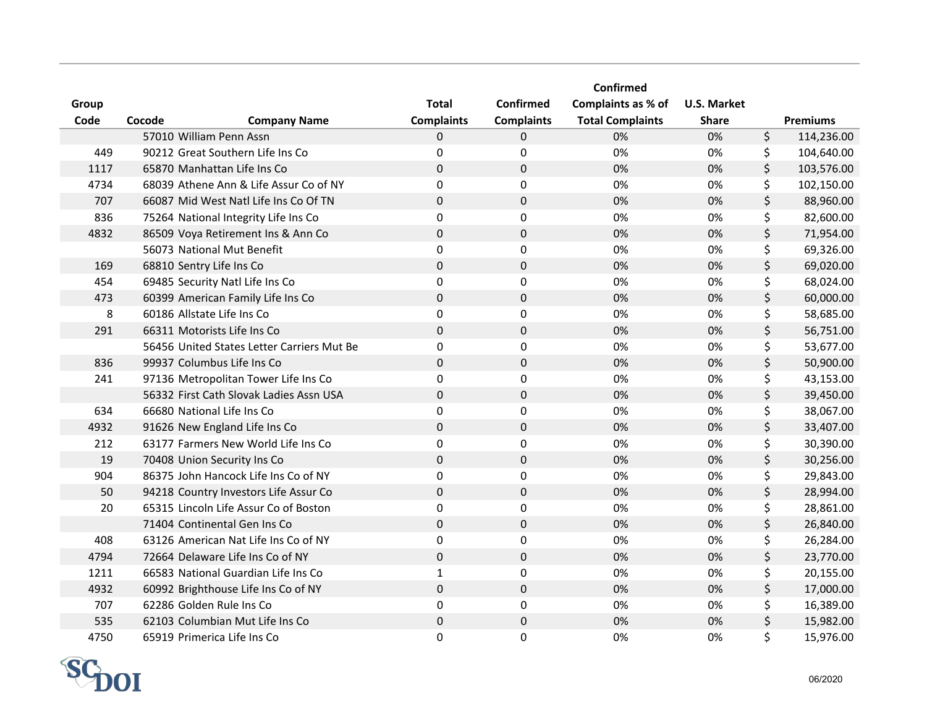|       |                                            |                   |                   | Confirmed               |                    |                  |
|-------|--------------------------------------------|-------------------|-------------------|-------------------------|--------------------|------------------|
| Group |                                            | <b>Total</b>      | <b>Confirmed</b>  | Complaints as % of      | <b>U.S. Market</b> |                  |
| Code  | Cocode<br><b>Company Name</b>              | <b>Complaints</b> | <b>Complaints</b> | <b>Total Complaints</b> | <b>Share</b>       | <b>Premiums</b>  |
|       | 57010 William Penn Assn                    | 0                 | $\mathbf 0$       | 0%                      | 0%                 | \$<br>114,236.00 |
| 449   | 90212 Great Southern Life Ins Co           | $\Omega$          | 0                 | 0%                      | 0%                 | \$<br>104,640.00 |
| 1117  | 65870 Manhattan Life Ins Co                | $\mathbf 0$       | $\mathbf 0$       | 0%                      | 0%                 | \$<br>103,576.00 |
| 4734  | 68039 Athene Ann & Life Assur Co of NY     | 0                 | 0                 | 0%                      | 0%                 | \$<br>102,150.00 |
| 707   | 66087 Mid West Natl Life Ins Co Of TN      | $\pmb{0}$         | $\pmb{0}$         | 0%                      | 0%                 | \$<br>88,960.00  |
| 836   | 75264 National Integrity Life Ins Co       | 0                 | $\pmb{0}$         | 0%                      | 0%                 | \$<br>82,600.00  |
| 4832  | 86509 Voya Retirement Ins & Ann Co         | $\pmb{0}$         | $\pmb{0}$         | 0%                      | 0%                 | \$<br>71,954.00  |
|       | 56073 National Mut Benefit                 | 0                 | 0                 | 0%                      | 0%                 | \$<br>69,326.00  |
| 169   | 68810 Sentry Life Ins Co                   | 0                 | $\mathbf{0}$      | 0%                      | 0%                 | \$<br>69,020.00  |
| 454   | 69485 Security Natl Life Ins Co            | 0                 | 0                 | 0%                      | 0%                 | \$<br>68,024.00  |
| 473   | 60399 American Family Life Ins Co          | 0                 | $\mathbf 0$       | 0%                      | 0%                 | \$<br>60,000.00  |
| 8     | 60186 Allstate Life Ins Co                 | 0                 | 0                 | 0%                      | 0%                 | \$<br>58,685.00  |
| 291   | 66311 Motorists Life Ins Co                | 0                 | $\mathbf 0$       | 0%                      | 0%                 | \$<br>56,751.00  |
|       | 56456 United States Letter Carriers Mut Be | 0                 | $\pmb{0}$         | 0%                      | 0%                 | \$<br>53,677.00  |
| 836   | 99937 Columbus Life Ins Co                 | $\mathbf 0$       | $\mathbf 0$       | 0%                      | 0%                 | \$<br>50,900.00  |
| 241   | 97136 Metropolitan Tower Life Ins Co       | 0                 | 0                 | 0%                      | 0%                 | \$<br>43,153.00  |
|       | 56332 First Cath Slovak Ladies Assn USA    | 0                 | $\pmb{0}$         | 0%                      | 0%                 | \$<br>39,450.00  |
| 634   | 66680 National Life Ins Co                 | 0                 | $\mathbf 0$       | 0%                      | 0%                 | \$<br>38,067.00  |
| 4932  | 91626 New England Life Ins Co              | $\mathbf 0$       | $\pmb{0}$         | 0%                      | 0%                 | \$<br>33,407.00  |
| 212   | 63177 Farmers New World Life Ins Co        | 0                 | 0                 | 0%                      | 0%                 | \$<br>30,390.00  |
| 19    | 70408 Union Security Ins Co                | $\pmb{0}$         | $\pmb{0}$         | 0%                      | 0%                 | \$<br>30,256.00  |
| 904   | 86375 John Hancock Life Ins Co of NY       | 0                 | $\pmb{0}$         | 0%                      | 0%                 | \$<br>29,843.00  |
| 50    | 94218 Country Investors Life Assur Co      | $\mathbf 0$       | $\mathbf 0$       | 0%                      | 0%                 | \$<br>28,994.00  |
| 20    | 65315 Lincoln Life Assur Co of Boston      | 0                 | 0                 | 0%                      | 0%                 | \$<br>28,861.00  |
|       | 71404 Continental Gen Ins Co               | 0                 | $\pmb{0}$         | 0%                      | 0%                 | \$<br>26,840.00  |
| 408   | 63126 American Nat Life Ins Co of NY       | 0                 | $\mathbf 0$       | 0%                      | 0%                 | \$<br>26,284.00  |
| 4794  | 72664 Delaware Life Ins Co of NY           | 0                 | $\mathbf 0$       | 0%                      | 0%                 | \$<br>23,770.00  |
| 1211  | 66583 National Guardian Life Ins Co        | 1                 | 0                 | 0%                      | 0%                 | \$<br>20,155.00  |
| 4932  | 60992 Brighthouse Life Ins Co of NY        | 0                 | $\mathbf 0$       | 0%                      | 0%                 | \$<br>17,000.00  |
| 707   | 62286 Golden Rule Ins Co                   | 0                 | 0                 | 0%                      | 0%                 | \$<br>16,389.00  |
| 535   | 62103 Columbian Mut Life Ins Co            | 0                 | 0                 | 0%                      | 0%                 | \$<br>15,982.00  |
| 4750  | 65919 Primerica Life Ins Co                | 0                 | 0                 | 0%                      | 0%                 | \$<br>15,976.00  |

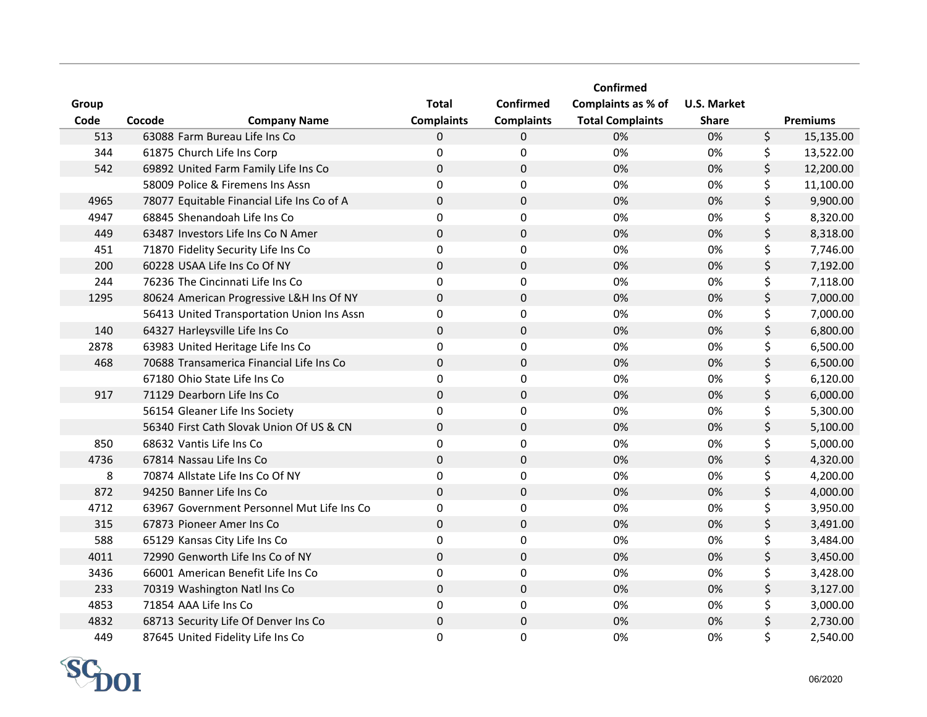|       |                                            |                   |                   | <b>Confirmed</b>        |                    |                 |
|-------|--------------------------------------------|-------------------|-------------------|-------------------------|--------------------|-----------------|
| Group |                                            | <b>Total</b>      | <b>Confirmed</b>  | Complaints as % of      | <b>U.S. Market</b> |                 |
| Code  | Cocode<br><b>Company Name</b>              | <b>Complaints</b> | <b>Complaints</b> | <b>Total Complaints</b> | <b>Share</b>       | <b>Premiums</b> |
| 513   | 63088 Farm Bureau Life Ins Co              | 0                 | $\mathbf 0$       | 0%                      | 0%                 | \$<br>15,135.00 |
| 344   | 61875 Church Life Ins Corp                 | 0                 | 0                 | 0%                      | 0%                 | \$<br>13,522.00 |
| 542   | 69892 United Farm Family Life Ins Co       | 0                 | $\mathbf 0$       | 0%                      | 0%                 | \$<br>12,200.00 |
|       | 58009 Police & Firemens Ins Assn           | 0                 | 0                 | 0%                      | 0%                 | \$<br>11,100.00 |
| 4965  | 78077 Equitable Financial Life Ins Co of A | 0                 | $\pmb{0}$         | 0%                      | 0%                 | \$<br>9,900.00  |
| 4947  | 68845 Shenandoah Life Ins Co               | 0                 | $\pmb{0}$         | 0%                      | 0%                 | \$<br>8,320.00  |
| 449   | 63487 Investors Life Ins Co N Amer         | 0                 | $\mathbf 0$       | 0%                      | 0%                 | \$<br>8,318.00  |
| 451   | 71870 Fidelity Security Life Ins Co        | 0                 | 0                 | 0%                      | 0%                 | \$<br>7,746.00  |
| 200   | 60228 USAA Life Ins Co Of NY               | 0                 | $\pmb{0}$         | 0%                      | 0%                 | \$<br>7,192.00  |
| 244   | 76236 The Cincinnati Life Ins Co           | 0                 | $\mathbf 0$       | 0%                      | 0%                 | \$<br>7,118.00  |
| 1295  | 80624 American Progressive L&H Ins Of NY   | 0                 | $\pmb{0}$         | 0%                      | 0%                 | \$<br>7,000.00  |
|       | 56413 United Transportation Union Ins Assn | $\Omega$          | $\Omega$          | 0%                      | 0%                 | \$<br>7,000.00  |
| 140   | 64327 Harleysville Life Ins Co             | 0                 | $\mathbf{0}$      | 0%                      | 0%                 | \$<br>6,800.00  |
| 2878  | 63983 United Heritage Life Ins Co          | 0                 | 0                 | 0%                      | 0%                 | \$<br>6,500.00  |
| 468   | 70688 Transamerica Financial Life Ins Co   | 0                 | $\pmb{0}$         | 0%                      | 0%                 | \$<br>6,500.00  |
|       | 67180 Ohio State Life Ins Co               | 0                 | $\mathbf 0$       | 0%                      | 0%                 | \$<br>6,120.00  |
| 917   | 71129 Dearborn Life Ins Co                 | 0                 | $\pmb{0}$         | 0%                      | 0%                 | \$<br>6,000.00  |
|       | 56154 Gleaner Life Ins Society             | 0                 | 0                 | 0%                      | 0%                 | \$<br>5,300.00  |
|       | 56340 First Cath Slovak Union Of US & CN   | 0                 | $\mathbf 0$       | 0%                      | 0%                 | \$<br>5,100.00  |
| 850   | 68632 Vantis Life Ins Co                   | 0                 | $\mathbf 0$       | 0%                      | 0%                 | \$<br>5,000.00  |
| 4736  | 67814 Nassau Life Ins Co                   | 0                 | $\pmb{0}$         | 0%                      | 0%                 | \$<br>4,320.00  |
| 8     | 70874 Allstate Life Ins Co Of NY           | 0                 | $\pmb{0}$         | 0%                      | 0%                 | \$<br>4,200.00  |
| 872   | 94250 Banner Life Ins Co                   | 0                 | $\pmb{0}$         | 0%                      | 0%                 | \$<br>4,000.00  |
| 4712  | 63967 Government Personnel Mut Life Ins Co | 0                 | 0                 | 0%                      | 0%                 | \$<br>3,950.00  |
| 315   | 67873 Pioneer Amer Ins Co                  | $\mathbf{0}$      | $\pmb{0}$         | 0%                      | 0%                 | \$<br>3,491.00  |
| 588   | 65129 Kansas City Life Ins Co              | 0                 | $\mathbf 0$       | 0%                      | 0%                 | \$<br>3,484.00  |
| 4011  | 72990 Genworth Life Ins Co of NY           | 0                 | $\mathbf 0$       | 0%                      | 0%                 | \$<br>3,450.00  |
| 3436  | 66001 American Benefit Life Ins Co         | 0                 | 0                 | 0%                      | 0%                 | \$<br>3,428.00  |
| 233   | 70319 Washington Natl Ins Co               | 0                 | $\pmb{0}$         | 0%                      | 0%                 | \$<br>3,127.00  |
| 4853  | 71854 AAA Life Ins Co                      | 0                 | 0                 | 0%                      | 0%                 | \$<br>3,000.00  |
| 4832  | 68713 Security Life Of Denver Ins Co       | 0                 | $\pmb{0}$         | 0%                      | 0%                 | \$<br>2,730.00  |
| 449   | 87645 United Fidelity Life Ins Co          | 0                 | 0                 | 0%                      | 0%                 | \$<br>2,540.00  |

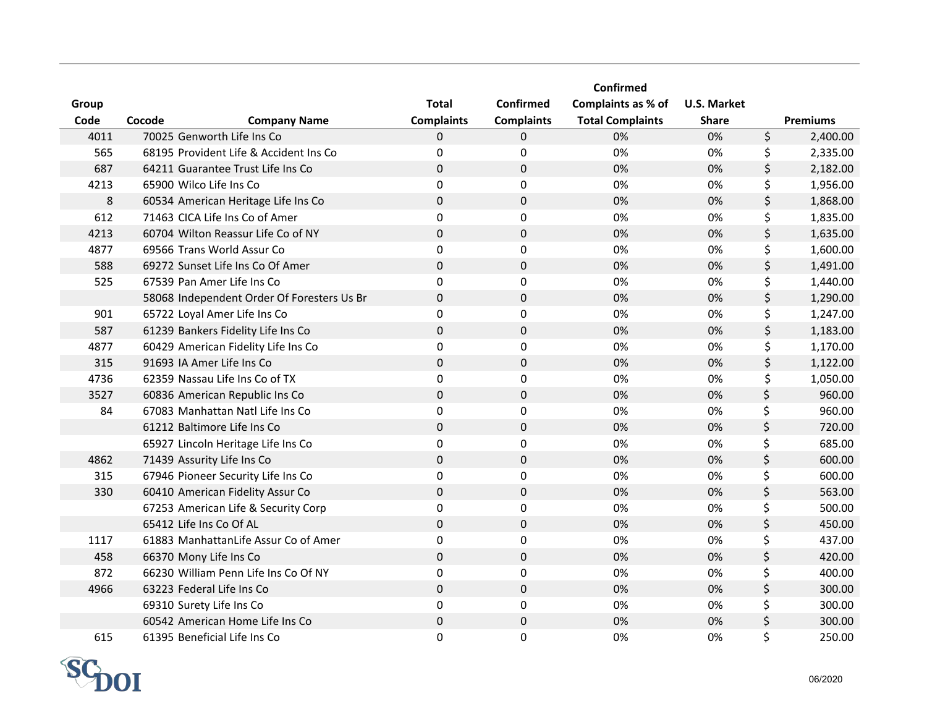|         |                                            |                   |                   | Confirmed               |                    |                 |
|---------|--------------------------------------------|-------------------|-------------------|-------------------------|--------------------|-----------------|
| Group   |                                            | <b>Total</b>      | <b>Confirmed</b>  | Complaints as % of      | <b>U.S. Market</b> |                 |
| Code    | Cocode<br><b>Company Name</b>              | <b>Complaints</b> | <b>Complaints</b> | <b>Total Complaints</b> | <b>Share</b>       | <b>Premiums</b> |
| 4011    | 70025 Genworth Life Ins Co                 | 0                 | $\mathbf 0$       | 0%                      | 0%                 | \$<br>2,400.00  |
| 565     | 68195 Provident Life & Accident Ins Co     | 0                 | 0                 | 0%                      | 0%                 | \$<br>2,335.00  |
| 687     | 64211 Guarantee Trust Life Ins Co          | 0                 | $\mathbf 0$       | 0%                      | 0%                 | \$<br>2,182.00  |
| 4213    | 65900 Wilco Life Ins Co                    | 0                 | 0                 | 0%                      | 0%                 | \$<br>1,956.00  |
| $\bf 8$ | 60534 American Heritage Life Ins Co        | 0                 | $\pmb{0}$         | 0%                      | 0%                 | \$<br>1,868.00  |
| 612     | 71463 CICA Life Ins Co of Amer             | 0                 | $\pmb{0}$         | 0%                      | 0%                 | \$<br>1,835.00  |
| 4213    | 60704 Wilton Reassur Life Co of NY         | 0                 | $\pmb{0}$         | 0%                      | 0%                 | \$<br>1,635.00  |
| 4877    | 69566 Trans World Assur Co                 | 0                 | 0                 | 0%                      | 0%                 | \$<br>1,600.00  |
| 588     | 69272 Sunset Life Ins Co Of Amer           | 0                 | $\mathbf 0$       | 0%                      | 0%                 | \$<br>1,491.00  |
| 525     | 67539 Pan Amer Life Ins Co                 | $\Omega$          | 0                 | 0%                      | 0%                 | \$<br>1,440.00  |
|         | 58068 Independent Order Of Foresters Us Br | 0                 | $\mathbf 0$       | 0%                      | 0%                 | \$<br>1,290.00  |
| 901     | 65722 Loyal Amer Life Ins Co               | 0                 | 0                 | 0%                      | 0%                 | \$<br>1,247.00  |
| 587     | 61239 Bankers Fidelity Life Ins Co         | 0                 | $\mathbf 0$       | 0%                      | 0%                 | \$<br>1,183.00  |
| 4877    | 60429 American Fidelity Life Ins Co        | 0                 | $\pmb{0}$         | 0%                      | 0%                 | \$<br>1,170.00  |
| 315     | 91693 IA Amer Life Ins Co                  | 0                 | $\mathbf 0$       | 0%                      | 0%                 | \$<br>1,122.00  |
| 4736    | 62359 Nassau Life Ins Co of TX             | 0                 | 0                 | 0%                      | 0%                 | \$<br>1,050.00  |
| 3527    | 60836 American Republic Ins Co             | 0                 | $\pmb{0}$         | 0%                      | 0%                 | \$<br>960.00    |
| 84      | 67083 Manhattan Natl Life Ins Co           | 0                 | $\mathbf 0$       | 0%                      | 0%                 | \$<br>960.00    |
|         | 61212 Baltimore Life Ins Co                | $\mathbf 0$       | $\mathbf 0$       | 0%                      | 0%                 | \$<br>720.00    |
|         | 65927 Lincoln Heritage Life Ins Co         | 0                 | 0                 | 0%                      | 0%                 | \$<br>685.00    |
| 4862    | 71439 Assurity Life Ins Co                 | 0                 | $\pmb{0}$         | 0%                      | 0%                 | \$<br>600.00    |
| 315     | 67946 Pioneer Security Life Ins Co         | 0                 | $\mathbf 0$       | 0%                      | 0%                 | \$<br>600.00    |
| 330     | 60410 American Fidelity Assur Co           | 0                 | $\mathbf 0$       | 0%                      | 0%                 | \$<br>563.00    |
|         | 67253 American Life & Security Corp        | 0                 | 0                 | 0%                      | 0%                 | \$<br>500.00    |
|         | 65412 Life Ins Co Of AL                    | 0                 | $\pmb{0}$         | 0%                      | 0%                 | \$<br>450.00    |
| 1117    | 61883 ManhattanLife Assur Co of Amer       | 0                 | $\mathbf 0$       | 0%                      | 0%                 | \$<br>437.00    |
| 458     | 66370 Mony Life Ins Co                     | 0                 | $\mathbf 0$       | 0%                      | 0%                 | \$<br>420.00    |
| 872     | 66230 William Penn Life Ins Co Of NY       | 0                 | 0                 | 0%                      | 0%                 | \$<br>400.00    |
| 4966    | 63223 Federal Life Ins Co                  | 0                 | $\mathbf 0$       | 0%                      | 0%                 | \$<br>300.00    |
|         | 69310 Surety Life Ins Co                   | 0                 | 0                 | 0%                      | 0%                 | \$<br>300.00    |
|         | 60542 American Home Life Ins Co            | 0                 | 0                 | 0%                      | 0%                 | \$<br>300.00    |
| 615     | 61395 Beneficial Life Ins Co               | 0                 | 0                 | 0%                      | 0%                 | \$<br>250.00    |